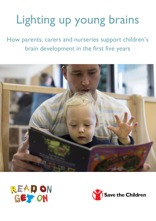# Lighting up young brains

How parents, carers and nurseries support children's brain development in the first five years





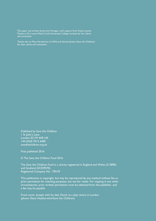This paper was written by Jerome Finnegan, with support from Kayte Lawton. Thanks to Dr Louise Weiss-Croft (University College London) for her advice and comments.

> Thanks also to Mary Hartshorne (I CAN) and Gareth Jenkins (Save the Children) for their advice and comments.

Published by Save the Children 1 St John's Lane London EC1M 4AR UK +44 (0)20 7012 6400 savethechildren.org.uk

First published 2016

© The Save the Children Fund 2016

The Save the Children Fund is a charity registered in England and Wales (213890) and Scotland (SC039570). Registered Company No. 178159

This publication is copyright, but may be reproduced by any method without fee or prior permission for teaching purposes, but not for resale. For copying in any other circumstances, prior written permission must be obtained from the publisher, and a fee may be payable.

Front cover: Joseph with his dad, David, at a play centre in London (photo: Elena Heatherwick/Save the Children)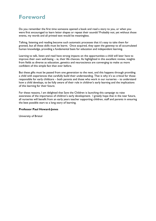# **Foreword**

Do you remember the first time someone opened a book and read a story to you, or when you were first encouraged to learn letter shapes or repeat their sounds? Probably not; yet without those events, my words and all printed text would be meaningless.

Talking, listening and reading become such automatic processes that it's easy to take them for granted, but all these skills must be learnt. Once acquired, they open the gateway to all accumulated human knowledge, providing a fundamental basis for education and independent learning.

Learning to talk, listen and read have strong impacts on the opportunities a child will later have to improve their own well-being – ie, their life chances. As highlighted in this excellent review, insights from fields as diverse as education, genetics and neuroscience are converging to make us more confident of this simple fact than ever before.

But these gifts must be passed from one generation to the next, and this happens through providing a child with experiences that carefully build their understanding. That is why it's so critical for those responsible for early childcare – both parents and those who work in our nurseries – to understand how a child develops, to be fully aware of their role in children's early learning and the implications of this learning for their future.

For these reasons, I am delighted that Save the Children is launching this campaign to raise awareness of the importance of children's early development. I greatly hope that in the near future, all nurseries will benefit from an early years teacher supporting children, staff and parents in ensuring the best possible start to a long story of learning.

#### **Professor Paul Howard-Jones**

University of Bristol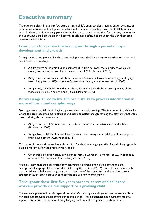# **Executive summary**

The science is clear. In the first few years of life, a child's brain develops rapidly, driven by a mix of experience, environment and genes. Children will continue to develop throughout childhood and into adulthood, but in the early years their brains are particularly sensitive. By contrast, the science shows that as a child grows older it becomes much more difficult to influence the way their brain processes information.

## **From birth to age two the brain goes through a period of rapid development and growth**

During the first two years of life the brain displays a remarkable capacity to absorb information and adapt to its surroundings.

- A fully-grown adult brain has an estimated 86 billion neurons, the majority of which are already formed in the womb (Herculano-Houzel 2009, Goswami 2015).
- By age one, the size of a child's brain is already 72% of adult volume on average and by age two it has grown to 83% of an adult's volume on average (Knickmeyer et. al. 2008).
- At age two, the connections that are being formed in a child's brain are happening about twice as fast as in an adult's brain (Stiles & Jernigan 2010).

## **Between age three to five the brain starts to process information in more efficient and complex ways**

From age three, a child's brain begins a phase called 'synaptic pruning'. This is a period in a child's life where the brain becomes more efficient and more complex through refining the networks that were formed during the first two years.

- At age three a child's brain is estimated to be about twice as active as an adult's brain (Brotherson 2009).
- At age five a child's brain uses almost twice as much energy as an adult's brain to support brain development (Kuzawa et al 2013)

This period from age three to five is also critical for children's language skills. A child's language skills develop rapidly during the first few years of life:

 On average, a child's vocabulary expands from 55 words at 16 months, to 225 words at 23 months to 573 words at 30 months (Goswami 2015)

We now know that the relationship between young children's brain development and the emergence of language skills is mutually reinforcing (Rosselli et al 2014). Each of these new words that a child learns helps to strengthen the architecture of the brain. And as that architecture is strengthened, children's capacity to recognise and use new words grows.

### **Throughout these first five years parents, carers and childcare workers provide crucial support to a growing child**

The evidence presented in this paper shows that it's not only a child's genes that determine his or her brain and language development during this period. The experiences and environments that support this interactive process of early language and brain development are also critical: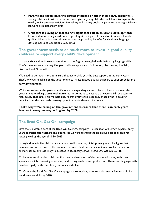- **Parents and carers have the biggest influence on their child's early learning:** A strong relationship with a parent or carer gives a young child the confidence to explore the world, while everyday activities like talking and sharing books help stimulate young children's language skills right from birth.
- **Childcare is playing an increasingly significant role in children's development:** More and more young children are spending at least part of their day at nursery. Goodquality childcare has been shown to have long-standing benefits for children's language development and educational outcomes.

#### **The government needs to do much more to invest in good-quality childcare to support every child's development**

Last year six children in every reception class in England struggled with their early language skills. That's the equivalent of every five year old in reception class in London, Manchester, Sheffield, Liverpool and Newcastle.

We need to do much more to ensure that every child gets the best support in the early years. That's why we're calling on the government to invest in good quality childcare to support children's early development.

While we welcome the government's focus on expanding access to free childcare, we want the government, working closely with nurseries, to do more to ensure that every child has access to high-quality childcare. This will help ensure that every child, especially those living in poverty, benefits from the best early learning opportunities in these critical years.

**That's why we're calling on the government to ensure that there is an early years teacher in every nursery in England by 2020.** 

### **The Read On. Get On. campaign**

Save the Children is part of the Read On. Get On. campaign – a coalition of literacy experts, early years professionals, teachers and businesses working towards the ambitious goal of all children reading well by the age of 11 by 2025.

In England, one in five children cannot read well when they finish primary school, a figure that increases to one in three of the poorest children. Children who cannot read well at the end of primary school are less likely to succeed in secondary school (Read On. Get On. 2014).

To become good readers, children first need to become confident communicators, with clear speech, a rapidly increasing vocabulary and strong levels of comprehension. These vital language skills develop rapidly in the first few years of a child's life.

That's why the Read On. Get On. campaign is also working to ensure that every five-year-old has good language skills by 2020.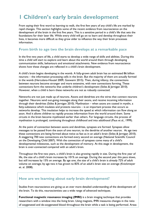# **1 Children's early brain development**

From saying their first word to learning to walk, the first few years of any child's life are marked by rapid changes. This section highlights some of the recent evidence from neuroscience on the development of the brain in the first five years. This is a sensitive period in a child's life that sets the foundations for their later life. While every child will go on to learn and develop throughout their lives, it becomes more difficult as they grow older to influence the way their brain processes information.

#### **From birth to age two the brain develops at a remarkable pace**

In the first two years of life, a child starts to develop a wide range of skills and abilities. During this time a child will start to explore and learn about the world around them through developing communication skills, behaviours and emotional attachments. New evidence from neuroscience shows how these changes are reflected in a child's brain development.

A child's brain begins developing in the womb. A fully-grown adult brain has an estimated 86 billion neurons – the information processing cells in the brain. But the majority of them are actually formed in the womb (Herculano-Houzel 2009, Goswami 2015). Then, during infancy, the connections between neurons become stronger and more extensive, with new connections forming. These connections form the networks that underlie children's development (Stiles & Jernigan 2010). However, when a child is born these networks are not as robustly connected.

Networks are not just made up of neurons. Axons and dendrites are the wires that connect neurons together. Neurons send out-going messages along their axons, and receive incoming information through their dendrites (Stiles & Jernigan 2010). Myelination – when axons are coated in myelin, a fatty-substance which insulates and protects neurons – is an important process that occurs as networks develop. This insulation helps to increase the speed at which information can flow along an axon. And it allows children to rapidly process information from the world around them. Some circuits in the brain become myelinated earlier than others. For language circuits, the process of myelination is prolonged, continuing throughout childhood and into adulthood (Paus et al., 1999).

At the point of connection between axons and dendrites, synapses are formed. Synapses allow messages to be passed from the axon of one neuron, to the dendrite of another neuron. At age two these connections are being formed about twice as fast as in an adult's brain (Stiles & Jernigan 2010). A staggering 700 new connections are formed every second on average (National Scientific Council on the Developing Child 2007). With the connection of synapses come many of a child's developmental milestones, such as the development of memory. At this stage in development, the brain is over-connected compared with an adult's brain.

Throughout the first two years, a child's brain is also growing rapidly in size. During the first year of life, the size of a child's brain increases by 101% on average. During the second year this pace slows, but still increases by 15% on average. By age one, the size of a child's brain is already 72% of adult volume on average; by age two it has grown to 83% of an adult's brain size on average (Knickmeyer et. al. 2008).

#### **How are we learning about early brain development?**

Studies from neuroscience are giving us an ever more detailed understanding of the development of the brain. To do this, neuroscientists use a wide range of advanced techniques.

**Functional magnetic resonance imaging (fMRI)** is a brain imaging technique that provides researchers with a window into the living brain. Using magnets, fMRI measures changes in the ratio of oxygenated and de-oxygenated blood throughout the brain while a task is being performed. Areas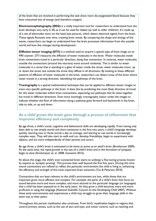of the brain that are involved in performing the task show more de-oxygenated blood because they have consumed lots of energy (and therefore oxygen).

**Electroencephalography (EEG)** is a really important tool for researchers to understand how the brain develops very early in life as it can be used for babies (as well as older children). It's made up of a net of electrodes worn on the head (see picture), which detect electrical signals from the brain. These signals fluctuate over time, creating brain waves. By comparing the shape and timings of the waves, researchers can begin to understand how the brain processes information from the outside world and how this changes during development.

**Diffusion tensor imaging (DTI)** is a method used to acquire a special type of brain image on an MRI scanner. DTI measures the diffusion of water molecules in the brain. Water molecules inside brain connections travel in a particular direction, along that connection. In contrast, water molecules outside the connections (around the neurons) move around randomly. This is similar to water molecules in a straw that is standing in a glass of water: inside the straw, water molecules move up or down the straw; but outside the straw they diffuse in all directions. By looking at these different patterns of diffusion of water molecules in the brain, researchers can detect areas of the brain where water travels in a strong direction, identifying the pathways of the brain.

**Tractography** is a special mathematical technique that can be applied to diffusion tensor images to trace very specific pathways in the brain. It does this by predicting the most likely direction of travel for the water molecules within brain connections, separating out pathways that lie close together but travel in different directions. Even more excitingly, tractography colour codes the images to indicate whether the flow of information along a pathway goes forward and backwards in the brain, side to side, or up and down.

#### **As a child grows the brain goes through a process of refinement that improves efficiency and complexity**

By age three, a child's social, cognitive and behavioural skills are developing rapidly. From having only been able to use simple words and short sentences in the first two years, a child's language develops quickly, learning two or three words a day on average, and starting to use words in increasingly complex ways. They will also start to walk and run, develop friendships, begin to experiment with objects, and act more independently of their parents and carers.

By age three, a child's brain is estimated to be twice as active as an adult's brain (Brotherson 2009). At the same time, the rapid growth in the size of a child's brain and in the formation of synapses begin to slow (Knickmeyer et. al. 2008, Goswami 2015).

At about this stage, the child's over-connected brain starts to undergo a fine-tuning process known by experts as 'synaptic pruning'. This process lasts well beyond the first five years. During this time neural connections are refined to reflect the particular environment the child is living in, enhancing the efficiency and strength of the most important brain networks (Tau & Peterson 2010).

Connections that are least relevant to the child's environment are lost, while those that are important grow more efficient and complex. For example, the parts of a child's brain that focus on sound become more and more complex, and more attuned to the particular language (or languages) that a child has been exposed to in the early years. As they grow a child becomes more and more proficient in using this language (National Scientific Council on the Developing Child 2007). Without these early environments and experiences a child may struggle to grow their language skills in the same way as their peers.

Throughout this period, myelination also continues. From birth, myelination begins in regions that control primary senses, such as the use of ears and eyes, and motor control, such as reaching and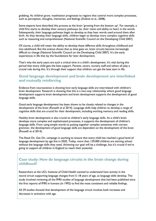grabbing. As children grow, myelination progresses to regions that control more complex processes, such as perception, thoughts, memories, and feelings (Dubois et al., 2008).

Some experts have described this process as the brain 'growing from the bottom up'. For example, a child first starts to develop their sensory pathways (ie, their vision and ability to hear) in the womb. Subsequently, their language pathways begin to develop as they hear words used around them after birth. As they develop their language skills, children begin to develop more complex cognitive skills such as reasoning and comprehension (National Scientific Council on the Developing Child 2007).

Of course, a child will retain the ability to develop these different skills throughout childhood and into adulthood. But the science shows that as time goes on, brain circuits become increasingly difficult to change (National Scientific Council on the Developing Child 2007). It's the early experiences in life that lay the foundations for later development.

That's why the early years are such a critical time in a child's development. It's vital during this period that every child gets the best support. Parents, carers, nursery staff and others all play a crucial role during this. It's through their support that children can get the best start in life.

#### **Good language development and brain development are interlinked and mutually reinforcing**

Evidence from neuroscience is showing how early language skills are interrelated with children's brain development. Research is showing that this is a two-way relationship where good language development supports brain development and brain development supports the development of good language skills.

Good early language development has been shown to be closely related to changes in the development of the brain (Rosselli et al 2014). Language skills help children to develop a range of cognitive skills that are crucial for their development, including working memory and reading skills.

Healthy brain development is also crucial to children's early language skills. As a child's brain develops more complex and sophisticated processes, it supports the development of children's language skills. From using simple words to putting together complex sentences with correct grammar, the development of good language skills are dependent on the development of the brain (Rosselli et al 2014).

The Read On. Get On. campaign is working to ensure that every child has reached a good level of language development by age five in 2020. Today, more than 129,000 children are starting school without the language skills they need. Achieving our goal will be a challenge, but it's crucial if we're going to support all children in England to reach their potential.

#### **Case study: How do language circuits in the brain change during childhood?**

Researchers at the UCL Institute of Child Health wanted to understand how activity in the neural circuit supporting language changes from 5–18 years of age, as language skills develop. The study involved reviewing all the fMRI studies of language development that had been published since the first reports of fMRI in humans (in 1992) to find the most consistent and reliable findings.

All 39 studies showed that development of the language circuit involves both increases and decreases in activation with age.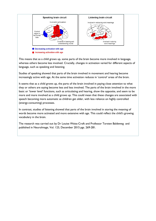

This means that as a child grows up, some parts of the brain become more involved in language, whereas others become less involved. Crucially, changes in activation varied for different aspects of language, such as speaking and listening.

Studies of speaking showed that parts of the brain involved in movement and hearing become increasingly active with age. At the same time activation reduces in 'control' areas of the brain.

It seems that as a child grows up, the parts of the brain involved in paying close attention to what they or others are saying become less and less involved. The parts of the brain involved in the more basic or 'lower level' functions, such as articulating and hearing, show the opposite, and seem to be more and more involved as a child grows up. This could mean that these changes are associated with speech becoming more automatic as children get older, with less reliance on highly controlled (energy-consuming) processes.

In contrast, studies of listening showed that parts of the brain involved in storing the meaning of words become more activated and more extensive with age. This could reflect the child's growing vocabulary in the brain.

The research was carried out by Dr Louise Weiss-Croft and Professor Torsten Baldeweg and published in NeuroImage, Vol. 123, December 2015 pgs. 269-281.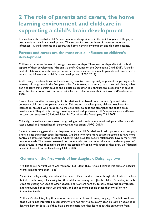# **2 The role of parents and carers, the home learning environment and childcare in supporting a child's brain development**

The evidence shows that a child's environment and experiences in the first few years of life play a crucial role in their brain development. This section focuses on three of the most important influences – a child's parents and carers, the home learning environment and childcare settings.

### **Parents and carers are the most crucial influence on children's development**

Children experience the world through their relationships. These relationships affect virtually all aspects of their development (National Scientific Council on the Developing Child 2008). A child's central relationship is with their parent or parents and carers; as a result, parents and carers have a very strong influence on a child's brain development (APPG 2013).

Child–caregiver interactions, such as shared eye-contact, are especially important for getting wordlearning off the ground in the first year of life. By following a parent's gaze to a named object, babies begin to learn that certain sounds and objects go together. It is through this association of sounds with objects, or sounds with actions, that infants are able to learn their first words (Morales et al., 1998).

Researchers describe the strength of this relationship as based on a continual 'give and take' between a child and their parent or carer. This means that when young children reach out for interaction, an adult who responds to the child helps to build and strengthen the child's brain development. They do this through creating a relationship where a child's experiences are affirmed, nurtured and supported (National Scientific Council on the Developing Child 2008).

Critically, the evidence also shows that growing up with an insecure relationship can affect a child's later physical and mental health, behaviour and education (APPG 2015).

Recent research suggests that this happens because a child's relationship with parents or carers plays a role in regulating their stress hormones. Children who have more secure relationships have more controlled stress hormone reactions. Children who have less secure relationships have higher stress hormone levels. This creates elevated hormone levels that can potentially alter the development of brain circuits in ways that make children less capable of coping with stress as they grow up (National Scientific Council on the Developing Child 2008).

### **Gemma on the first words of her daughter, Daisy, age two**

"I'd like to say her first word was 'mummy', but I don't think it was. I think it was quite an obscure word, it might have been 'juice'.

"She's incredibly chatty, she talks all the time… it's a confidence issue though: she'll talk to me lots but she can be wary of speaking to other adults, so coming here [to the children's centre] is really good for getting her used to other people. The workers here try to have conversations with her, and encourage her to open up and relax, and talk to more people other than myself or her immediate family.

"I think it's absolutely key they develop an interest in books from a young age. As adults we know that if we're not interested in something we're not going to be overly keen on learning about it or learning how to do it. So if they have a strong basis, and they learn about the enjoyment from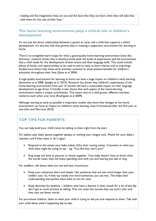reading and the imagination they can use and the facts that they can learn, then they will take that with them for the rest of their lives."

### **The home learning environment plays a critical role in children's development**

It's not just the direct relationship between a parent or carer and a child that supports a child's development. It's also the role that parents play in creating a supportive environment for learning at home.

There's no straightforward recipe for what a good-quality home-learning environment looks like. However, research shows that it should provide both the kinds of experiences and the environment that a child needs for the development of their brains and their language skills. This could include plenty of books, and opportunities to be read to and to read, to learn rhymes and to sing songs. Studies have shown that these early activities continue to show positive benefits for children's education throughout their lives (Sylva et al 2004).

A high-quality environment for learning at home can have a huge impact on children's early learning (Sammons et al 2008, Speight et al. 2015). Research has shown that children's experiences of the home-learning environment from just 14 months old have a measurable impact on their language development at age three. Critically, it also shows that each aspect of the home-learning environment makes a unique contribution. This means that as a child grows, different activities reinforce each other over time (Rodriguez et al 2009).

Although starting as early as possible is important, studies also show that changes to the home environment can have an impact on children's early learning, even if introduced after the first year or two (Son and Morrison 2010).

## **TOP TIPS FOR PARENTS**

You can help build your child's brain by talking to them right from the start.

For babies, play 'baby' games together (peepo or sticking your tongue out). Watch for your baby's reaction, and if they enjoy it, do it again:

- Respond to the noises your baby makes. Echo their cooing noises. Comment on what you think they might be trying to say  $-$  eg, "You like that, don't you?"
- Sing songs and look at pictures or books together. Your baby doesn't have to know what the words mean, they will enjoy spending time with you and hearing you talk or sing.

For toddlers, talk about what you see and hear around you:

- Keep your sentences short and simple. Use sentences that are one word longer than your toddler uses. So, if they say mainly one word sentences, you use two. This helps their understanding and teaches them what to aim for next.
- Keep dummies for bedtime children who have a dummy in their mouth for a lot of the day don't get as much practice at talking. That can mean the sounds they use aren't clear and they may use fewer words.

For pre-school children, listen to what your child is trying to tell you and respond to them. Talk with your child about what's happening day-to-day: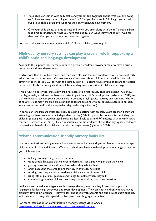- Your child can join in with daily tasks and you can talk together about what you are doing eg, "I have to hang the washing up now," or "Can you find a sock?" Talking together helps build your child's brain and supports their early language development.
- Give your child plenty of time to respond when you are talking with them. Young children take time to understand what you have said and to plan what they want to say. Wait for them and then you can have a conversation together.

For more information and resources visit I CAN's www.talkingpoint.org.uk

## **High-quality nursery settings can play a crucial role in supporting a child's brain and language development**

Alongside the support their parents or carers provide, childcare providers can also have a crucial impact on children's development.

Today more than 1.3 million three- and four-year-olds use the free entitlement of 15 hours of early education and care per week. On average, children spend about 17 hours per week in a formal setting (Huskinson et al 2014). With the introduction of 15 extra hours of free childcare for eligible parents, it's likely that many children will be spending even more time in childcare settings.

This is why it's so critical that every child has access to a high-quality childcare setting. We know that high-quality childcare can have a positive impact on a child's development (Sylva et al. 2004) and that early years teachers play a critical role in creating a high-quality learning environment (Mathers et al 2011). But many children are attending childcare settings who do not have access to an early years teacher (or staff with an equivalent degree-level qualification).

In particular, children are much less likely to attend a setting with an early years teacher if they are attending a private, voluntary or independent setting (PVI). Of particular concern is the finding that children growing up in disadvantaged areas are least likely to attend PVI settings with an early years teacher (Gambaro et al. 2013). This is crucial because the evidence shows that high-quality childcare has particular benefits for children from disadvantaged areas (Sylva et al 2004).

## **What a communication-friendly nursery looks like**

In a communication-friendly nursery there are lots of activities and games planned that encourage children to talk, play and listen. Staff support children's language development in a range of ways – you might see them:

- talking carefully, using short sentences
- using simple language that children understand, just slightly longer than the child's
- **•** getting down to the child's eye level when they talk to them
- often repeating the same things they say in everyday activities
- waiting after they've said something giving children time to think
- using lots of pictures, gestures and things to look at when they talk
- commenting on what children are doing, and not asking too many questions.

Staff are also trained about typical early language development, so they know how important language is for learning, behaviour and social development. They can spot children who are having difficulty developing language – they will talk about this with parents and put in place extra support, and they work closely with specialists like speech and language therapists.

For more information on communication friendly settings visit I CAN's <http://www.talkingpoint.org.uk/ey-workers/adapting-environment>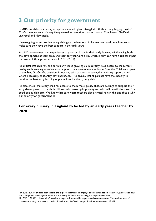# **3 Our priority for government**

In 2015, six children in every reception class in England struggled with their early language skills.<sup>1</sup> That's the equivalent of every five-year-old in reception class in London, Manchester, Sheffield, Liverpool and Newcastle.<sup>2</sup>

If we're going to ensure that every child gets the best start in life we need to do much more to make sure they have the best support in the early years.

A child's environment and experiences play a crucial role in their early learning – influencing both the development of their brain and their early language skills, which in turn can have a critical impact on how well they get on at school (APPG 2013).

It's critical that children, and particularly those growing up in poverty, have access to the highestquality early learning experiences to support their development at home. Save the Children, as part of the *Read On. Get On.* coalition, is working with partners to strengthen existing support – and where necessary, to identify new approaches – to ensure that all parents have the capacity to provide the best early learning opportunities for their young child.

It's also crucial that every child has access to the highest-quality childcare settings to support their early development, particularly children who grow up in poverty and who will benefit the most from good-quality childcare. We know that early years teachers play a critical role in this and that is why our priority for government is:

## **For every nursery in England to be led by an early years teacher by 2020**

**.** 

<sup>&</sup>lt;sup>1</sup> In 2015, 20% of children didn't reach the expected standard in language and communication. The average reception class size is 30 pupils, meaning that about 6 out of every 30 were not reaching the expected standard.

<sup>2</sup> In 2015, 129,573 children didn't reach the expected standard in language and communication. The total number of children attending reception in London, Manchester, Sheffield, Liverpool and Newcastle was 128,901.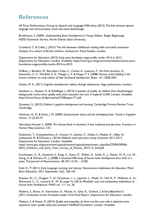# **References**

All Party Parliamentary Group on Speech and Language Difficulties (2013) *The links between speech, language and communication needs and social disadvantage*

Brotherson, S. (2009). *Understanding Brain Development in Young Children*. Bright Beginnings, NDSU Extension Service, North Dakota State University.

Crawford, C. & Cribb, J. (2015) The link between childhood reading skills and adult outcomes: Analysis of a cohort of British children. Institute for Fiscal Studies: London.

Department for Education (2015) *Early years foundation stage profile results: 2014 to 2015.*  Department for Education: London. Available: https://www.gov.uk/government/statistics/early-yearsfoundation-stage-profile-results-2014-to-2015

DuBois, J., Benders, M., Borradori-Tolsa, C., Cachia, A., Lazeyras, F., Ha-Vinh Leuchter, R., Sizonenko, S., V., Warfield, S., K., Mangin, J., F. & Huppi, P. S. (2008) *Primary cortical folding in the human newborn: an early marker of later functional development*. Brain, 131, 2028-2041.

Galotti, M. K. (2011) *Cognitive development: infancy through adolescence.* Sage publications: London.

Gambaro, L., Stewart, K. & Waldfogel, J. (2013) A question of quality: do children from disadvantaged *backgrounds receive lower quality early years education and care in England?* CASE: London. Available: http://sticerd.lse.ac.uk/dps/case/cp/CASEpaper171.pdf

Goswami, U. (2015) *Children's cognitive development and learning.* Cambridge Primary Review Trust: Cambridge.

Hackman, A., D. & Farah, J. M. (2009) *Socioeconomic status and the developing brain. Trends in Cognitive Science*, 13 (2) 65-73

Herculano-Houzel, S. (2009) *The Human Brain in Numbers: A liner scaled-up primate brain*. Frontiers in Human Neuroscience, 3:31.

Huskinson, T., Kostadintcheva, K., Greevy, H., Salmon, C., Dobie, S., Medien, K., Gilby, N., Littlewood, M. & D'Souze, J. (2014) *Childcare amd early years survey of parents 2012-2013.* Department for Education: London. Available: https://www.gov.uk/government/uploads/system/uploads/attachment\_data/file/275992/SFR06- 2014 Childcare and Early Years Survey of Parents 2012-13 final.pdf

Knickmeyer, C., R., Gouttard, S., Kang, C., Evans, D., Wilber, K., Smith, K., J., Hamer, M., R., Lin, W., Gerig, G. & Gilmore, H., J. (2008) *A structural MRI study of human brain development from birth to 2 years*. The Journal of Neuroscience, 28 (47) 12176 – 12182.

Kuhl, K., P. (2011) *Early Language Learning and Literacy: Neuroscience Implications for Education*. Mind Brain Education. 2011 September; 5(3): 128-142.

Kuzawa, W., C., Chugani, T., H., Grossman, I., L., Lipovich, L., Muzik, O., Hof, R., P., Wildman, E., D., Sherwood, C., C., Leonard, R., W. & Lange, N. (2013) *Metabolic costs and evolutionary implications of human brain development.* PNAS vol. 111, no. 36.

Mathers, S., Ranns, H., Karemaker, A., Moody, A., Sylva, K., Graham, J. & Siraj-Blatchford I. (2011) Evaluation of the Graduate Leader Fund Final Report. Department for Education: London.

Mathers, S. & Smees, R. (2014) *Quality and inequality: do three and four year olds in deprived areas experience lower quality early years provision?* Nuffield Foundation: London. Available: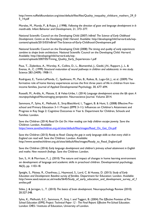http://www.nuffieldfoundation.org/sites/default/files/files/Quality inequality childcare mathers 29 0 5\_14.pdf

Morales, M., Mundy, P., & Rojas, J. (1998). *Following the direction of gaze and language development in 6 month-olds*. Infant Behavior and Development, 21, 373–377.

National Scientific Council on the Developing Child (2007) *InBrief: The Science of Early Childhood Development. Centre on the Developing Child: Harvard.* Available: http://developingchild.harvard.edu/wpcontent/uploads/2015/03/InBrief-The-Science-of-Early-Childhood-Development.pdf

National Scientific Council on the Developing Child (2008) *The timing and quality of early experiences combine to shape brain architecture*. National Scientific Council on the Developing Child: Harvard. Available: http://developingchild.harvard.edu/wpcontent/uploads/2007/05/Timing\_Quality\_Early\_Experiences-1.pdf

Paus, T., Zijdenbos, A., Worsley, K., Collins, D., L., Blumenthal, J., Giedd, J.N., Rapport, J., L. & Evenas, A., C. (1999) *Structural maturation of neural pathways in children and adolescents: in vivo study*. Science 283 (5409): 1908-11.

Rodriguez, E., Tamis-LeMonda, C., Spellmann, M., Pan, B., Raikes, B., Lugo-Gil, J., et al. (2009) The formative role of home literacy experiences across the first three years of life in children from lowincome families, Journal of Applied Developmental Psychology, 30, 677–694.

Rosselli, M., Ardila, A., Matute, E. & Velez-Uribe, I. (2014) *Language development across the life span: A neuropsychological/Neuroimaging perspective*. Neuroscience Journal. Volume 2014.

Sammons, P., Sylva, K., Melhuish, E., Siraj-Blatchford, I., Taggart, B. & Hunt, S. (2008) Effective Preschool and Primary Education 3-11 Project (EPPE 3-11): Influences on Children's Attainment and Progress in Key Stage 2: Cognitive Outcomes in Year 6. Department for Children, Schools and Families: London.

Save the Children (2014) *Read On Get On: How reading can help children escape poverty*. Save the Children: London. Available: [https://www.savethechildren.org.uk/sites/default/files/images/Read\\_On\\_Get\\_On.pdf](https://www.savethechildren.org.uk/sites/default/files/images/Read_On_Get_On.pdf) 

Save the Children (2015) *Ready to Read: Closing the gap in early language skills so that every child in England can read well*. Save the Children: London. Available: http://www.savethechildren.org.uk/sites/default/files/images/Ready\_to\_Read\_England.pdf

Save the Children (2016) *Early language development and children's primary school attainment in English and maths: New research findings*. Save the Children: London.

Son, S., H. & Morrison, F., J. (2010) The nature and impact of changes in home learning environment on development of language and academic skills in preschool children. Developmental psychology, 46(5), pp. 1103-18.

Speight, S., Maisey, R., Chanfreau, J., Haywood, S., Lord, C. & Hussey, D. (2015) *Study of Early Education and Development: Baseline survey of families.* Department for Education: London. Available: http://www.seed.natcen.ac.uk/media/5645/Study of early education and development survey of f amilies.pdf

Stiles, J. & Jernigan, L., T. (2010) *The basics of brain development*. Neuropsychology Review (2010) 20:327-348.

Sylva, K., Melhuish, E.C., Sammons, P., Siraj, I. and Taggart, B. (2004).*The Effective Provision of Pre-School Education (EPPE) Project: Technical Paper 12 - The Final Report: Effective Pre-School Education*. London: DfES / Institute of Education, University of London.